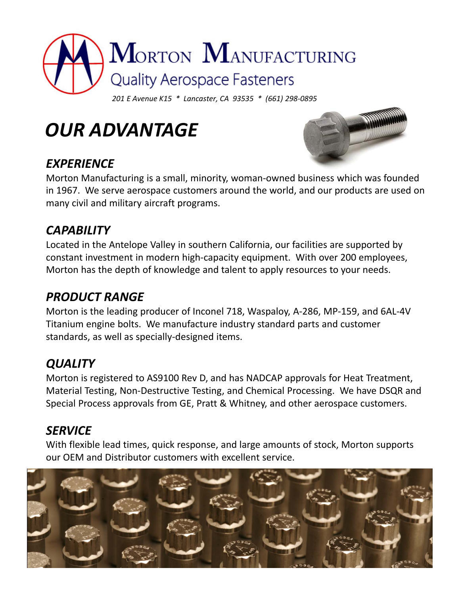

*OUR ADVANTAGE*

## *EXPERIENCE*



Morton Manufacturing is a small, minority, woman‐owned business which was founded in 1967. We serve aerospace customers around the world, and our products are used on many civil and military aircraft programs.

#### *CAPABILITY*

Located in the Antelope Valley in southern California, our facilities are supported by constant investment in modern high‐capacity equipment. With over 200 employees, Morton has the depth of knowledge and talent to apply resources to your needs.

## *PRODUCT RANGE*

Morton is the leading producer of Inconel 718, Waspaloy, A‐286, MP‐159, and 6AL‐4V Titanium engine bolts. We manufacture industry standard parts and customer standards, as well as specially‐designed items.

## *QUALITY*

Morton is registered to AS9100 Rev D, and has NADCAP approvals for Heat Treatment, Material Testing, Non‐Destructive Testing, and Chemical Processing. We have DSQR and Special Process approvals from GE, Pratt & Whitney, and other aerospace customers.

## *SERVICE*

With flexible lead times, quick response, and large amounts of stock, Morton supports our OEM and Distributor customers with excellent service.